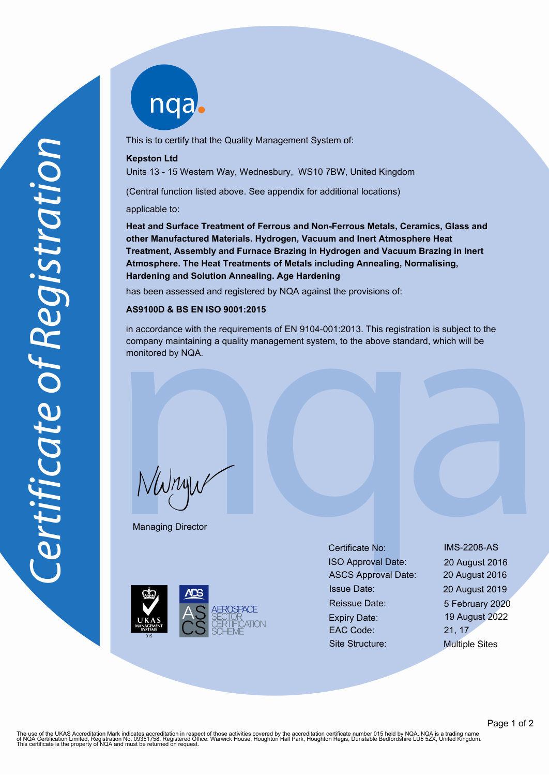

This is to certify that the Quality Management System of:

## **Kepston Ltd**

Units 13 - 15 Western Way, Wednesbury, WS10 7BW, United Kingdom

(Central function listed above. See appendix for additional locations)

applicable to:

**Heat and Surface Treatment of Ferrous and Non-Ferrous Metals, Ceramics, Glass and other Manufactured Materials. Hydrogen, Vacuum and Inert Atmosphere Heat Treatment, Assembly and Furnace Brazing in Hydrogen and Vacuum Brazing in Inert Atmosphere. The Heat Treatments of Metals including Annealing, Normalising, Hardening and Solution Annealing. Age Hardening**

has been assessed and registered by NQA against the provisions of:

## **AS9100D & BS EN ISO 9001:2015**

in accordance with the requirements of EN 9104-001:2013. This registration is subject to the company maintaining a quality management system, to the above standard, which will be monitored by NQA.

NWnyw

Managing Director



Certificate No: IMS-2208-AS ISO Approval Date: 20 August 2016 ASCS Approval Date: 20 August 2016 Issue Date: 20 August 2019 Reissue Date: 5 February 2020 Expiry Date: 19 August 2022 EAC Code: 21, 17 Site Structure: Multiple Sites